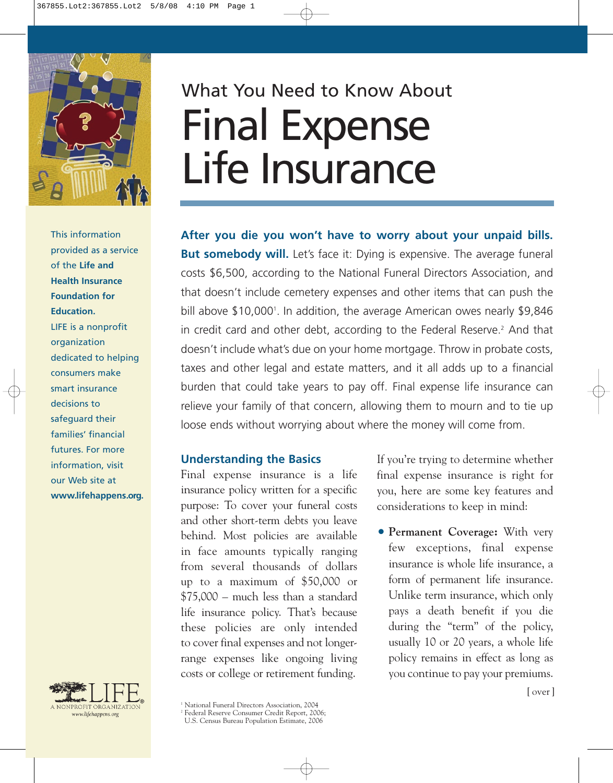

This information provided as a service of the **Life and Health Insurance Foundation for Education.** LIFE is a nonprofit organization dedicated to helping consumers make smart insurance decisions to safeguard their families' financial futures. For more information, visit our Web site at **www.lifehappens.org.**



## What You Need to Know About Final Expense Life Insurance

**After you die you won't have to worry about your unpaid bills. But somebody will.** Let's face it: Dying is expensive. The average funeral costs \$6,500, according to the National Funeral Directors Association, and that doesn't include cemetery expenses and other items that can push the bill above \$10,000<sup>1</sup>. In addition, the average American owes nearly \$9,846 in credit card and other debt, according to the Federal Reserve.<sup>2</sup> And that doesn't include what's due on your home mortgage. Throw in probate costs, taxes and other legal and estate matters, and it all adds up to a financial burden that could take years to pay off. Final expense life insurance can relieve your family of that concern, allowing them to mourn and to tie up loose ends without worrying about where the money will come from.

## **Understanding the Basics**

Final expense insurance is a life insurance policy written for a specific purpose: To cover your funeral costs and other short-term debts you leave behind. Most policies are available in face amounts typically ranging from several thousands of dollars up to a maximum of \$50,000 or \$75,000 – much less than a standard life insurance policy. That's because these policies are only intended to cover final expenses and not longerrange expenses like ongoing living costs or college or retirement funding.

If you're trying to determine whether final expense insurance is right for you, here are some key features and considerations to keep in mind:

• **Permanent Coverage:** With very few exceptions, final expense insurance is whole life insurance, a form of permanent life insurance. Unlike term insurance, which only pays a death benefit if you die during the "term" of the policy, usually 10 or 20 years, a whole life policy remains in effect as long as you continue to pay your premiums.

<sup>&</sup>lt;sup>1</sup> National Funeral Directors Association, 2004

<sup>2</sup> Federal Reserve Consumer Credit Report, 2006;

U.S. Census Bureau Population Estimate, 2006